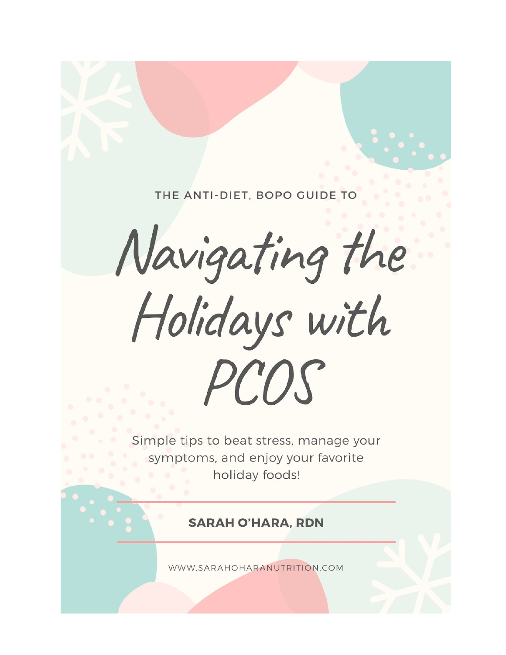THE ANTI-DIET, BOPO GUIDE TO

Navigating the

Holidays with PCOS

Simple tips to beat stress, manage your symptoms, and enjoy your favorite holiday foods!

**SARAH O'HARA, RDN** 

WWW.SARAHOHARANUTRITION.COM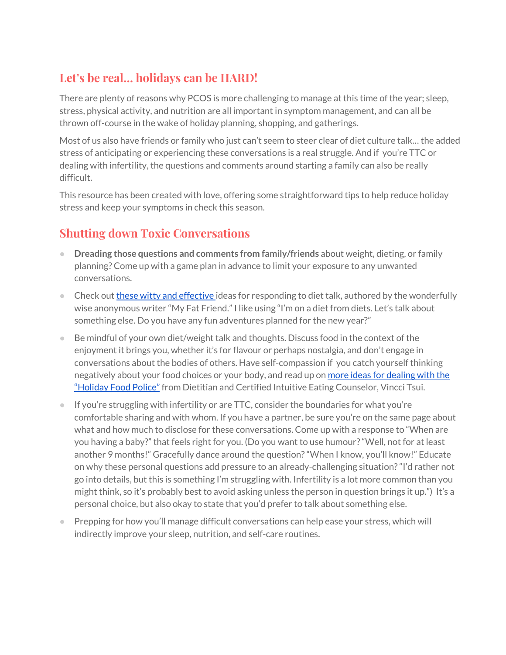### **Let's be real… holidays can be HARD!**

There are plenty of reasons why PCOS is more challenging to manage at this time of the year; sleep, stress, physical activity, and nutrition are all important in symptom management, and can all be thrown off-course in the wake of holiday planning, shopping, and gatherings.

Most of us also have friends or family who just can't seem to steer clear of diet culture talk… the added stress of anticipating or experiencing these conversations is a real struggle. And if you're TTC or dealing with infertility, the questions and comments around starting a family can also be really difficult.

This resource has been created with love, offering some straightforward tips to help reduce holiday stress and keep your symptoms in check this season.

## **Shutting down Toxic Conversations**

- **Dreading those questions and comments from family/friends** about weight, dieting, or family planning? Come up with a game plan in advance to limit your exposure to any unwanted conversations.
- **•** Check out **these witty and [effective](https://humanparts.medium.com/27-responses-to-neverending-diet-talk-8379bd89423b)** ideas for responding to diet talk, authored by the wonderfully wise anonymous writer "My Fat Friend." I like using "I'm on a diet from diets. Let's talk about something else. Do you have any fun adventures planned for the new year?"
- Be mindful of your own diet/weight talk and thoughts. Discuss food in the context of the enjoyment it brings you, whether it's for flavour or perhaps nostalgia, and don't engage in conversations about the bodies of others. Have self-compassion if you catch yourself thinking negatively about your food choices or your body, and read up on more ideas for [dealing](https://vinccitsui.com/blog/2017/12/holiday-food-police/?fbclid=IwAR2O33jtfw2YTSig5tNWqYvCQ7bfSEoj-gulOh-AsZpe-Zb3X6ifKcEcCSM#.XeAPCS0ZM8Y) with the ["Holiday](https://vinccitsui.com/blog/2017/12/holiday-food-police/?fbclid=IwAR2O33jtfw2YTSig5tNWqYvCQ7bfSEoj-gulOh-AsZpe-Zb3X6ifKcEcCSM#.XeAPCS0ZM8Y) Food Police" from Dietitian and Certified Intuitive Eating Counselor, Vincci Tsui.
- If you're struggling with infertility or are TTC, consider the boundaries for what you're comfortable sharing and with whom. If you have a partner, be sure you're on the same page about what and how much to disclose for these conversations. Come up with a response to "When are you having a baby?" that feels right for you. (Do you want to use humour?"Well, not for at least another 9 months!" Gracefully dance around the question?"When I know, you'll know!" Educate on why these personal questions add pressure to an already-challenging situation?"I'd rather not go into details, but this is something I'm struggling with. Infertility is a lot more common than you might think, so it's probably best to avoid asking unless the person in question brings it up.") It's a personal choice, but also okay to state that you'd prefer to talk about something else.
- Prepping for how you'll manage difficult conversations can help ease your stress, which will indirectly improve your sleep, nutrition, and self-care routines.